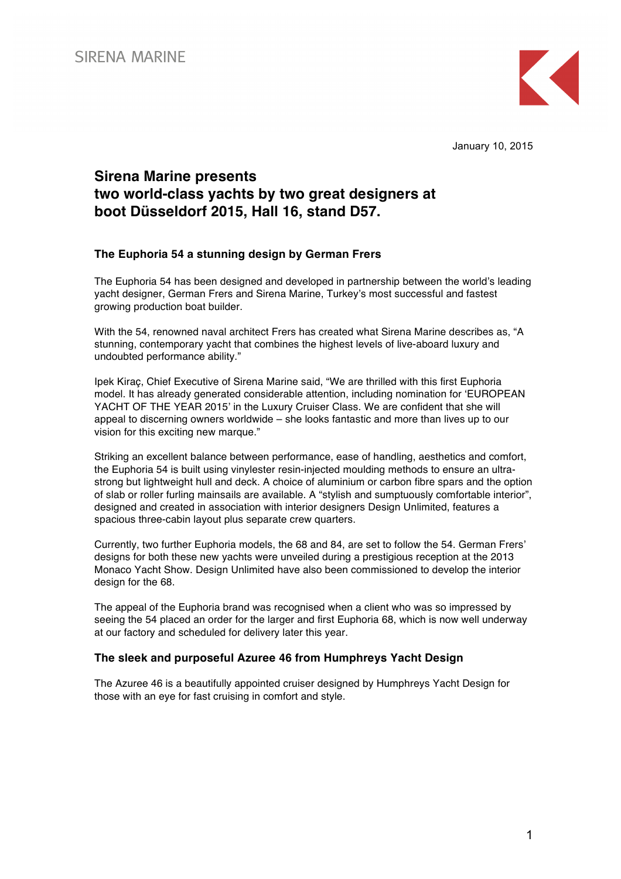

January 10, 2015

# **Sirena Marine presents two world-class yachts by two great designers at boot Düsseldorf 2015, Hall 16, stand D57.**

### **The Euphoria 54 a stunning design by German Frers**

The Euphoria 54 has been designed and developed in partnership between the world's leading yacht designer, German Frers and Sirena Marine, Turkey's most successful and fastest growing production boat builder.

With the 54, renowned naval architect Frers has created what Sirena Marine describes as, "A stunning, contemporary yacht that combines the highest levels of live-aboard luxury and undoubted performance ability."

Ipek Kiraç, Chief Executive of Sirena Marine said, "We are thrilled with this first Euphoria model. It has already generated considerable attention, including nomination for 'EUROPEAN YACHT OF THE YEAR 2015' in the Luxury Cruiser Class. We are confident that she will appeal to discerning owners worldwide – she looks fantastic and more than lives up to our vision for this exciting new marque."

Striking an excellent balance between performance, ease of handling, aesthetics and comfort, the Euphoria 54 is built using vinylester resin-injected moulding methods to ensure an ultrastrong but lightweight hull and deck. A choice of aluminium or carbon fibre spars and the option of slab or roller furling mainsails are available. A "stylish and sumptuously comfortable interior", designed and created in association with interior designers Design Unlimited, features a spacious three-cabin layout plus separate crew quarters.

Currently, two further Euphoria models, the 68 and 84, are set to follow the 54. German Frers' designs for both these new yachts were unveiled during a prestigious reception at the 2013 Monaco Yacht Show. Design Unlimited have also been commissioned to develop the interior design for the 68.

The appeal of the Euphoria brand was recognised when a client who was so impressed by seeing the 54 placed an order for the larger and first Euphoria 68, which is now well underway at our factory and scheduled for delivery later this year.

### **The sleek and purposeful Azuree 46 from Humphreys Yacht Design**

The Azuree 46 is a beautifully appointed cruiser designed by Humphreys Yacht Design for those with an eye for fast cruising in comfort and style.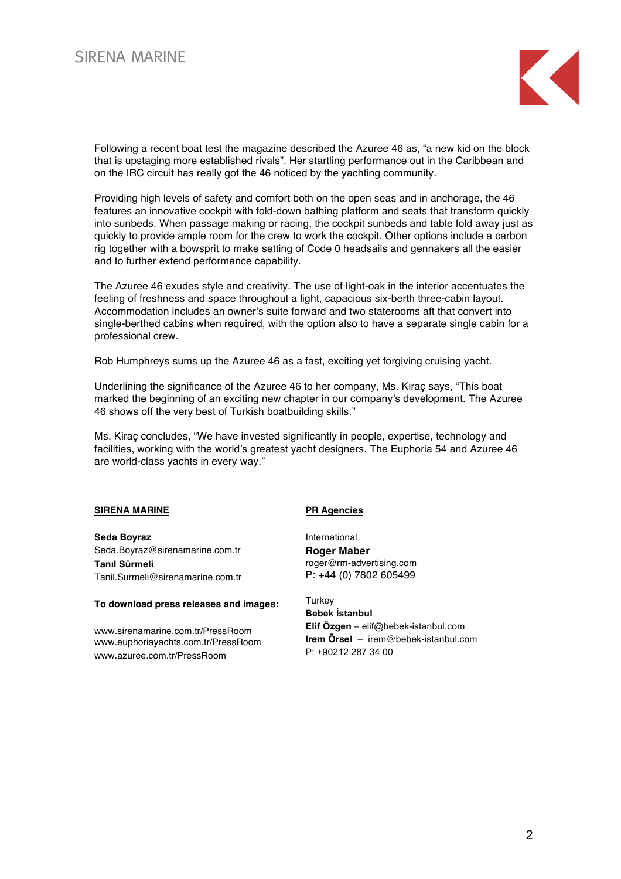# **SIRENA MARINE**



Following a recent boat test the magazine described the Azuree 46 as, "a new kid on the block that is upstaging more established rivals". Her startling performance out in the Caribbean and on the IRC circuit has really got the 46 noticed by the yachting community.

Providing high levels of safety and comfort both on the open seas and in anchorage, the 46 features an innovative cockpit with fold-down bathing platform and seats that transform quickly into sunbeds. When passage making or racing, the cockpit sunbeds and table fold away just as quickly to provide ample room for the crew to work the cockpit. Other options include a carbon rig together with a bowsprit to make setting of Code 0 headsails and gennakers all the easier and to further extend performance capability.

The Azuree 46 exudes style and creativity. The use of light-oak in the interior accentuates the feeling of freshness and space throughout a light, capacious six-berth three-cabin layout. Accommodation includes an owner's suite forward and two staterooms aft that convert into single-berthed cabins when required, with the option also to have a separate single cabin for a professional crew.

Rob Humphreys sums up the Azuree 46 as a fast, exciting yet forgiving cruising yacht.

Underlining the significance of the Azuree 46 to her company, Ms. Kiraç says, "This boat marked the beginning of an exciting new chapter in our company's development. The Azuree 46 shows off the very best of Turkish boatbuilding skills."

Ms. Kiraç concludes, "We have invested significantly in people, expertise, technology and facilities, working with the world's greatest yacht designers. The Euphoria 54 and Azuree 46 are world-class yachts in every way."

#### **SIRENA MARINE**

**Seda Boyraz** Seda.Boyraz@sirenamarine.com.tr **Tanıl Sürmeli** Tanil.Surmeli@sirenamarine.com.tr

#### **To download press releases and images:**

www.sirenamarine.com.tr/PressRoom www.euphoriayachts.com.tr/PressRoom www.azuree.com.tr/PressRoom

#### **PR Agencies**

International **Roger Maber** roger@rm-advertising.com P: +44 (0) 7802 605499

**Turkey Bebek İstanbul Elif Özgen** – elif@bebek-istanbul.com **Irem Örsel** – irem@bebek-istanbul.com P: +90212 287 34 00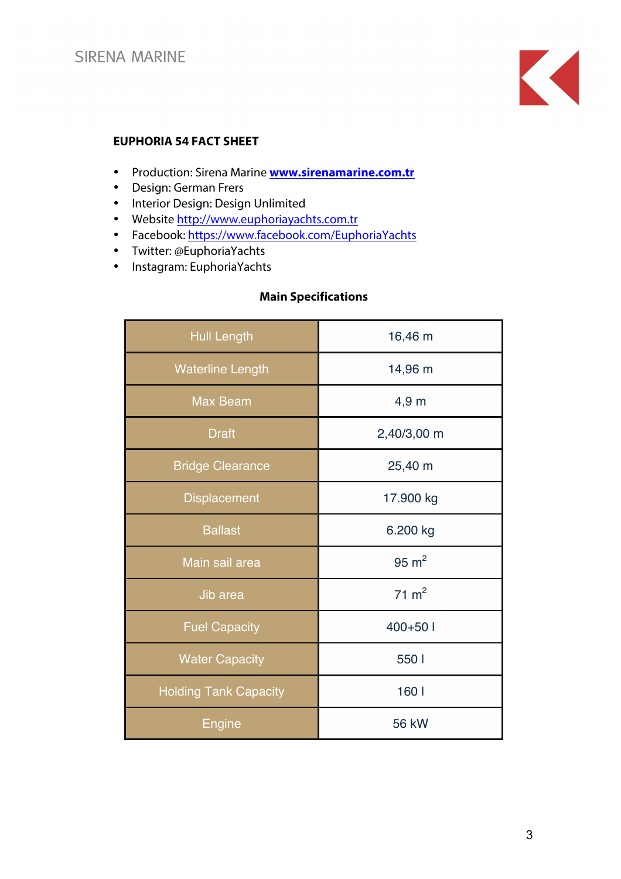

## **EUPHORIA 54 FACT SHEET**

- Production: Sirena Marine **www.sirenamarine.com.tr**
- Design: German Frers
- Interior Design: Design Unlimited
- Website http://www.euphoriayachts.com.tr
- Facebook: https://www.facebook.com/EuphoriaYachts
- Twitter: @EuphoriaYachts
- Instagram: EuphoriaYachts

## **Main Specifications**

| <b>Hull Length</b>           | 16,46 m          |  |  |
|------------------------------|------------------|--|--|
| <b>Waterline Length</b>      | 14,96 m          |  |  |
| <b>Max Beam</b>              | 4,9 <sub>m</sub> |  |  |
| <b>Draft</b>                 | 2,40/3,00 m      |  |  |
| <b>Bridge Clearance</b>      | 25,40 m          |  |  |
| <b>Displacement</b>          | 17.900 kg        |  |  |
| <b>Ballast</b>               | 6.200 kg         |  |  |
| Main sail area               | $95 \text{ m}^2$ |  |  |
| Jib area                     | $71 \text{ m}^2$ |  |  |
| <b>Fuel Capacity</b>         | $400+50$ I       |  |  |
| <b>Water Capacity</b>        | 550 l            |  |  |
| <b>Holding Tank Capacity</b> | 160              |  |  |
| Engine                       | <b>56 kW</b>     |  |  |